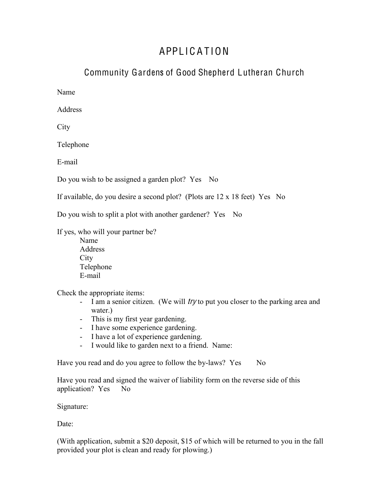## APPL I C A T ION

## Community Gardens of Good Shepherd Lutheran Church

Name

**Address** 

**City** 

Telephone

E-mail

Do you wish to be assigned a garden plot? Yes No

If available, do you desire a second plot? (Plots are 12 x 18 feet) Yes No

Do you wish to split a plot with another gardener? Yes No

If yes, who will your partner be?

Name Address **City** Telephone E-mail

Check the appropriate items:

- I am a senior citizen. (We will try to put you closer to the parking area and water.)
- This is my first year gardening.
- I have some experience gardening.
- I have a lot of experience gardening.
- I would like to garden next to a friend. Name:

Have you read and do you agree to follow the by-laws? Yes No

Have you read and signed the waiver of liability form on the reverse side of this application? Yes No

Signature:

Date:

(With application, submit a \$20 deposit, \$15 of which will be returned to you in the fall provided your plot is clean and ready for plowing.)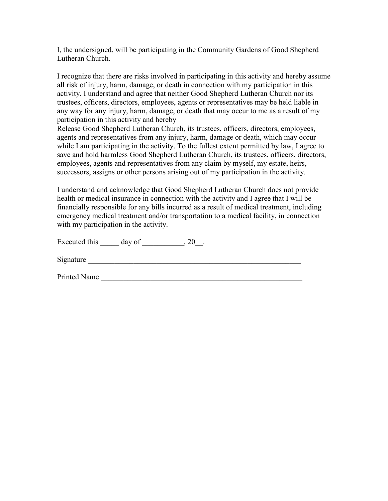I, the undersigned, will be participating in the Community Gardens of Good Shepherd Lutheran Church.

I recognize that there are risks involved in participating in this activity and hereby assume all risk of injury, harm, damage, or death in connection with my participation in this activity. I understand and agree that neither Good Shepherd Lutheran Church nor its trustees, officers, directors, employees, agents or representatives may be held liable in any way for any injury, harm, damage, or death that may occur to me as a result of my participation in this activity and hereby

Release Good Shepherd Lutheran Church, its trustees, officers, directors, employees, agents and representatives from any injury, harm, damage or death, which may occur while I am participating in the activity. To the fullest extent permitted by law, I agree to save and hold harmless Good Shepherd Lutheran Church, its trustees, officers, directors, employees, agents and representatives from any claim by myself, my estate, heirs, successors, assigns or other persons arising out of my participation in the activity.

I understand and acknowledge that Good Shepherd Lutheran Church does not provide health or medical insurance in connection with the activity and I agree that I will be financially responsible for any bills incurred as a result of medical treatment, including emergency medical treatment and/or transportation to a medical facility, in connection with my participation in the activity.

Executed this  $\_\_\_\_\$  day of  $\_\_\_\_\_\$ , 20 $\_\_\_\_\$ .

Signature

Printed Name \_\_\_\_\_\_\_\_\_\_\_\_\_\_\_\_\_\_\_\_\_\_\_\_\_\_\_\_\_\_\_\_\_\_\_\_\_\_\_\_\_\_\_\_\_\_\_\_\_\_\_\_\_